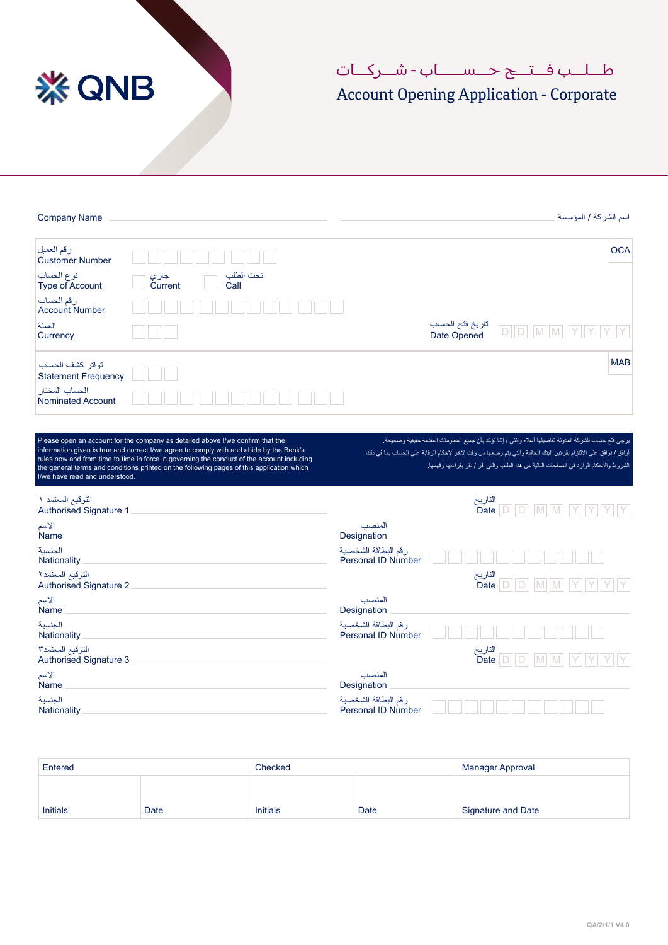

## طــلــب فــتــح حــســــاب - شــر كــات

## Account Opening Application - Corporate

| <b>Company Name</b>                            |                                                                                                                                                                                                                                                                                                                                                                      |                                                  | اسم الشركة / المؤسسة                                                                                                                                                                                                                                                                                                     |
|------------------------------------------------|----------------------------------------------------------------------------------------------------------------------------------------------------------------------------------------------------------------------------------------------------------------------------------------------------------------------------------------------------------------------|--------------------------------------------------|--------------------------------------------------------------------------------------------------------------------------------------------------------------------------------------------------------------------------------------------------------------------------------------------------------------------------|
| رقم العميل<br><b>Customer Number</b>           |                                                                                                                                                                                                                                                                                                                                                                      |                                                  | <b>OCA</b>                                                                                                                                                                                                                                                                                                               |
| نوع الحساب<br>Type of Account                  | تحت الطلب<br>جار <i>ي</i><br>Current<br>Call                                                                                                                                                                                                                                                                                                                         |                                                  |                                                                                                                                                                                                                                                                                                                          |
| رقم الحساب<br><b>Account Number</b>            |                                                                                                                                                                                                                                                                                                                                                                      |                                                  |                                                                                                                                                                                                                                                                                                                          |
| العملة<br>Currency                             |                                                                                                                                                                                                                                                                                                                                                                      | تاريخ فتح الحساب<br>Date Opened                  | D  D <br>$M$ $M$<br>IY                                                                                                                                                                                                                                                                                                   |
| تواتر كشف الحساب<br><b>Statement Frequency</b> |                                                                                                                                                                                                                                                                                                                                                                      |                                                  | <b>MAB</b>                                                                                                                                                                                                                                                                                                               |
| الحساب المختار<br><b>Nominated Account</b>     |                                                                                                                                                                                                                                                                                                                                                                      |                                                  |                                                                                                                                                                                                                                                                                                                          |
| I/we have read and understood.                 | Please open an account for the company as detailed above I/we confirm that the<br>information given is true and correct I/we agree to comply with and abide by the Bank's<br>rules now and from time to time in force in governing the conduct of the account including<br>the general terms and conditions printed on the following pages of this application which |                                                  | يرجى فتح حساب للشركة المدونة تفاصيلها أعلاه وإنني / إننا نؤكد بأن جميع المعلومات المقدمة حقيقية وصحيحة.<br>أوافق / نوافق على الالتزام بقوانين البنك الحالية والتي يتم وضعها من وقت لآخر  لإحكام الرقابة على الحساب بما في ذلك<br>الشروط والأحكام الوارد في الصفحات التالية من هذا الطلب والتي أقر / نقر بقراءتها وفهمها. |
| التوقيع المعتمد ١<br>Authorised Signature 1    |                                                                                                                                                                                                                                                                                                                                                                      |                                                  | التاريخ<br>Date  D  D   M  M                                                                                                                                                                                                                                                                                             |
| الأسم<br>Name                                  |                                                                                                                                                                                                                                                                                                                                                                      | المنصب<br>Designation                            |                                                                                                                                                                                                                                                                                                                          |
| الحنسية<br>Nationality                         |                                                                                                                                                                                                                                                                                                                                                                      | رقم البطاقة الشخصية<br><b>Personal ID Number</b> |                                                                                                                                                                                                                                                                                                                          |
| التوقيع المعتمد٢<br>Authorised Signature 2     |                                                                                                                                                                                                                                                                                                                                                                      | التاريخ                                          | Date $\boxed{\Box}$<br>M                                                                                                                                                                                                                                                                                                 |
| الأسم<br>Name                                  |                                                                                                                                                                                                                                                                                                                                                                      | المنصب<br>Designation                            |                                                                                                                                                                                                                                                                                                                          |
| الجنسية<br>Nationality                         |                                                                                                                                                                                                                                                                                                                                                                      | رقم البطاقة الشخصية<br><b>Personal ID Number</b> |                                                                                                                                                                                                                                                                                                                          |
| التوقيع المعتمد٢<br>Authorised Signature 3     |                                                                                                                                                                                                                                                                                                                                                                      | التاريخ<br>Date                                  | $D$ $D$<br>M M                                                                                                                                                                                                                                                                                                           |
| الأسم<br><b>Name</b>                           |                                                                                                                                                                                                                                                                                                                                                                      | المنصب<br>Designation                            |                                                                                                                                                                                                                                                                                                                          |
| الجنسية<br>Nationality                         |                                                                                                                                                                                                                                                                                                                                                                      | رقم البطاقة الشخصية<br>Personal ID Number        |                                                                                                                                                                                                                                                                                                                          |

| Entered         |      | Checked         |      | <b>Manager Approval</b> |  |
|-----------------|------|-----------------|------|-------------------------|--|
|                 |      |                 |      |                         |  |
|                 |      |                 |      |                         |  |
| <b>Initials</b> | Date | <b>Initials</b> | Date | Signature and Date      |  |